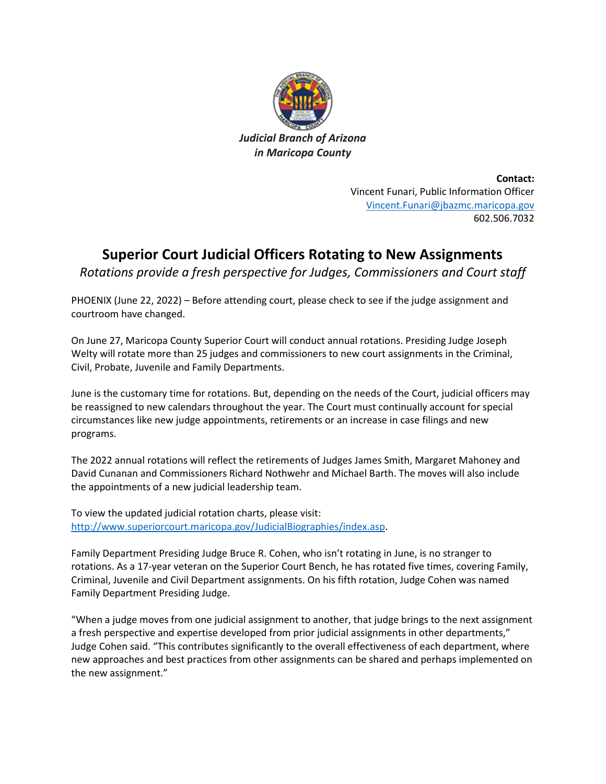

**Contact:** Vincent Funari, Public Information Officer [Vincent.Funari@jbazmc.maricopa.gov](mailto:Vincent.Funari@jbazmc.maricopa.gov) 602.506.7032

## **Superior Court Judicial Officers Rotating to New Assignments**

*Rotations provide a fresh perspective for Judges, Commissioners and Court staff*

PHOENIX (June 22, 2022) – Before attending court, please check to see if the judge assignment and courtroom have changed.

On June 27, Maricopa County Superior Court will conduct annual rotations. Presiding Judge Joseph Welty will rotate more than 25 judges and commissioners to new court assignments in the Criminal, Civil, Probate, Juvenile and Family Departments.

June is the customary time for rotations. But, depending on the needs of the Court, judicial officers may be reassigned to new calendars throughout the year. The Court must continually account for special circumstances like new judge appointments, retirements or an increase in case filings and new programs.

The 2022 annual rotations will reflect the retirements of Judges James Smith, Margaret Mahoney and David Cunanan and Commissioners Richard Nothwehr and Michael Barth. The moves will also include the appointments of a new judicial leadership team.

To view the updated judicial rotation charts, please visit: [http://www.superiorcourt.maricopa.gov/JudicialBiographies/index.asp.](http://www.superiorcourt.maricopa.gov/JudicialBiographies/index.asp)

Family Department Presiding Judge Bruce R. Cohen, who isn't rotating in June, is no stranger to rotations. As a 17-year veteran on the Superior Court Bench, he has rotated five times, covering Family, Criminal, Juvenile and Civil Department assignments. On his fifth rotation, Judge Cohen was named Family Department Presiding Judge.

"When a judge moves from one judicial assignment to another, that judge brings to the next assignment a fresh perspective and expertise developed from prior judicial assignments in other departments," Judge Cohen said. "This contributes significantly to the overall effectiveness of each department, where new approaches and best practices from other assignments can be shared and perhaps implemented on the new assignment."